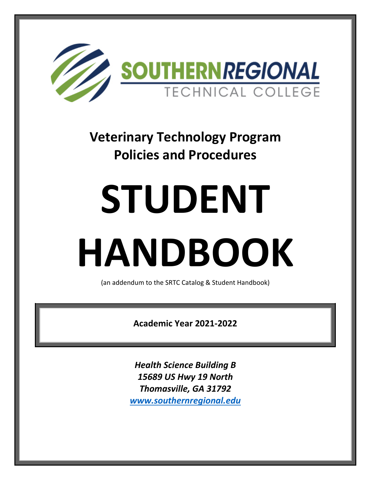

# **Veterinary Technology Program Policies and Procedures**

# **STUDENT HANDBOOK**

(an addendum to the SRTC Catalog & Student Handbook)

**Academic Year 2021-2022**

*Health Science Building B 15689 US Hwy 19 North Thomasville, GA 31792 [www.southernregional.edu](http://www.southernregional.edu/)*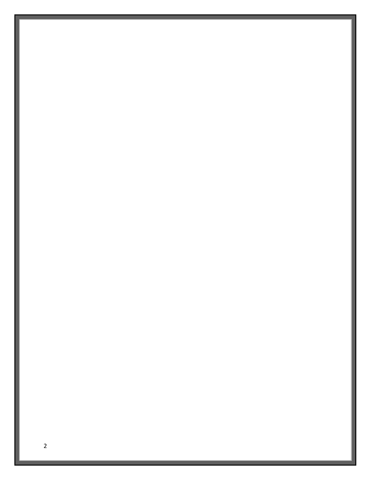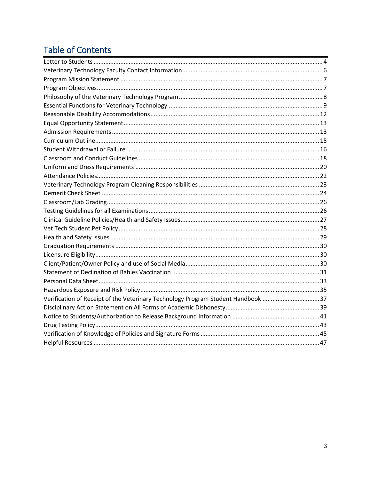# **Table of Contents**

| Verification of Receipt of the Veterinary Technology Program Student Handbook 37 |  |
|----------------------------------------------------------------------------------|--|
|                                                                                  |  |
|                                                                                  |  |
|                                                                                  |  |
|                                                                                  |  |
|                                                                                  |  |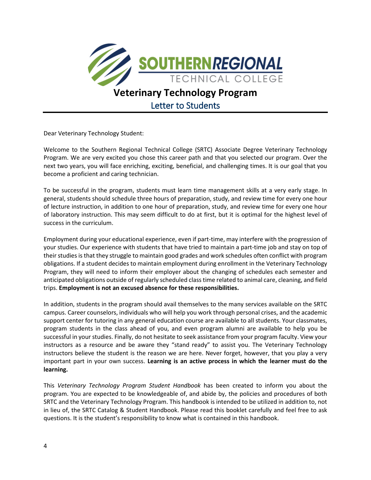

<span id="page-3-0"></span>Dear Veterinary Technology Student:

Welcome to the Southern Regional Technical College (SRTC) Associate Degree Veterinary Technology Program. We are very excited you chose this career path and that you selected our program. Over the next two years, you will face enriching, exciting, beneficial, and challenging times. It is our goal that you become a proficient and caring technician.

To be successful in the program, students must learn time management skills at a very early stage. In general, students should schedule three hours of preparation, study, and review time for every one hour of lecture instruction, in addition to one hour of preparation, study, and review time for every one hour of laboratory instruction. This may seem difficult to do at first, but it is optimal for the highest level of success in the curriculum.

Employment during your educational experience, even if part-time, may interfere with the progression of your studies. Our experience with students that have tried to maintain a part-time job and stay on top of their studies is that they struggle to maintain good grades and work schedules often conflict with program obligations. If a student decides to maintain employment during enrollment in the Veterinary Technology Program, they will need to inform their employer about the changing of schedules each semester and anticipated obligations outside of regularly scheduled class time related to animal care, cleaning, and field trips. **Employment is not an excused absence for these responsibilities.**

In addition, students in the program should avail themselves to the many services available on the SRTC campus. Career counselors, individuals who will help you work through personal crises, and the academic support center for tutoring in any general education course are available to all students. Your classmates, program students in the class ahead of you, and even program alumni are available to help you be successful in your studies. Finally, do not hesitate to seek assistance from your program faculty. View your instructors as a resource and be aware they "stand ready" to assist you. The Veterinary Technology instructors believe the student is the reason we are here. Never forget, however, that you play a very important part in your own success. **Learning is an active process in which the learner must do the learning.**

This *Veterinary Technology Program Student Handbook* has been created to inform you about the program. You are expected to be knowledgeable of, and abide by, the policies and procedures of both SRTC and the Veterinary Technology Program. This handbook is intended to be utilized in addition to, not in lieu of, the SRTC Catalog & Student Handbook. Please read this booklet carefully and feel free to ask questions. It is the student's responsibility to know what is contained in this handbook.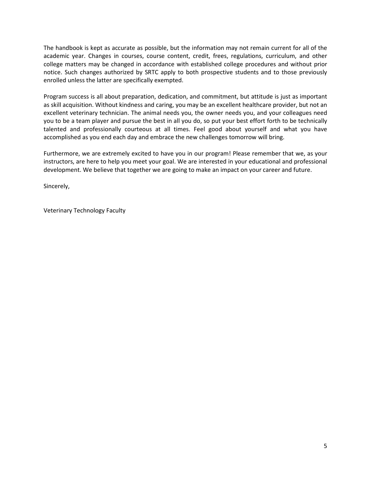The handbook is kept as accurate as possible, but the information may not remain current for all of the academic year. Changes in courses, course content, credit, frees, regulations, curriculum, and other college matters may be changed in accordance with established college procedures and without prior notice. Such changes authorized by SRTC apply to both prospective students and to those previously enrolled unless the latter are specifically exempted.

Program success is all about preparation, dedication, and commitment, but attitude is just as important as skill acquisition. Without kindness and caring, you may be an excellent healthcare provider, but not an excellent veterinary technician. The animal needs you, the owner needs you, and your colleagues need you to be a team player and pursue the best in all you do, so put your best effort forth to be technically talented and professionally courteous at all times. Feel good about yourself and what you have accomplished as you end each day and embrace the new challenges tomorrow will bring.

Furthermore, we are extremely excited to have you in our program! Please remember that we, as your instructors, are here to help you meet your goal. We are interested in your educational and professional development. We believe that together we are going to make an impact on your career and future.

Sincerely,

Veterinary Technology Faculty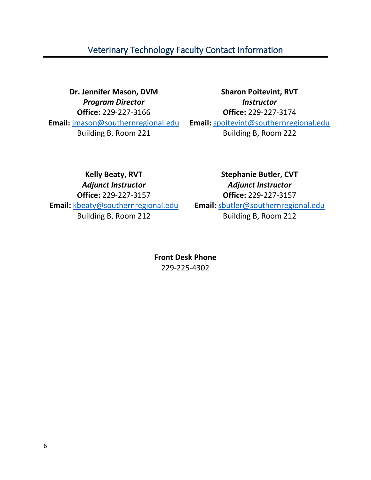# Veterinary Technology Faculty Contact Information

<span id="page-5-0"></span>**Dr. Jennifer Mason, DVM** *Program Director* **Office:** 229-227-3166 **Email:** [jmason@southernregional.edu](mailto:jmason@southernregional.edu) Building B, Room 221

**Sharon Poitevint, RVT** *Instructor* **Office:** 229-227-3174 **Email:** [spoitevint@southernregional.edu](mailto:spoitevint@southernregional.edu) Building B, Room 222

**Kelly Beaty, RVT** *Adjunct Instructor* **Office:** 229-227-3157 **Email:** [kbeaty@southernregional.edu](mailto:kbeaty@southernregional.edu) Building B, Room 212

**Stephanie Butler, CVT** *Adjunct Instructor* **Office:** 229-227-3157 **Email:** [sbutler@southernregional.edu](mailto:sbutler@southernregional.edu) Building B, Room 212

**Front Desk Phone** 229-225-4302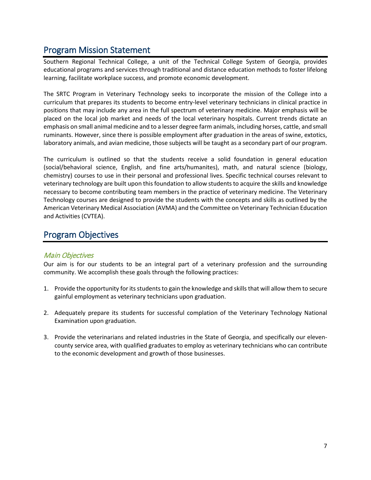# <span id="page-6-0"></span>Program Mission Statement

Southern Regional Technical College, a unit of the Technical College System of Georgia, provides educational programs and services through traditional and distance education methods to foster lifelong learning, facilitate workplace success, and promote economic development.

The SRTC Program in Veterinary Technology seeks to incorporate the mission of the College into a curriculum that prepares its students to become entry-level veterinary technicians in clinical practice in positions that may include any area in the full spectrum of veterinary medicine. Major emphasis will be placed on the local job market and needs of the local veterinary hospitals. Current trends dictate an emphasis on small animal medicine and to a lesser degree farm animals, including horses, cattle, and small ruminants. However, since there is possible employment after graduation in the areas of swine, extotics, laboratory animals, and avian medicine, those subjects will be taught as a secondary part of our program.

The curriculum is outlined so that the students receive a solid foundation in general education (social/behavioral science, English, and fine arts/humanites), math, and natural science (biology, chemistry) courses to use in their personal and professional lives. Specific technical courses relevant to veterinary technology are built upon this foundation to allow students to acquire the skills and knowledge necessary to become contributing team members in the practice of veterinary medicine. The Veterinary Technology courses are designed to provide the students with the concepts and skills as outlined by the American Veterinary Medical Association (AVMA) and the Committee on Veterinary Technician Education and Activities (CVTEA).

# <span id="page-6-1"></span>Program Objectives

### Main Objectives

Our aim is for our students to be an integral part of a veterinary profession and the surrounding community. We accomplish these goals through the following practices:

- 1. Provide the opportunity for its students to gain the knowledge and skills that will allow them to secure gainful employment as veterinary technicians upon graduation.
- 2. Adequately prepare its students for successful complation of the Veterinary Technology National Examination upon graduation.
- 3. Provide the veterinarians and related industries in the State of Georgia, and specifically our elevencounty service area, with qualified graduates to employ as veterinary technicians who can contribute to the economic development and growth of those businesses.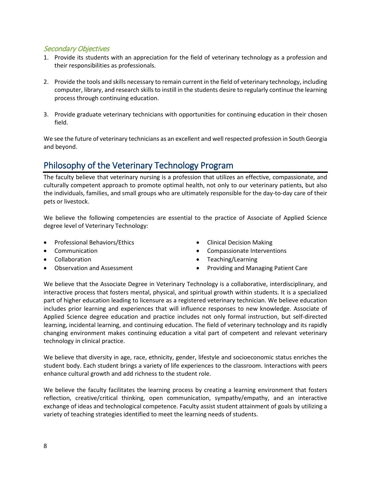### Secondary Objectives

- 1. Provide its students with an appreciation for the field of veterinary technology as a profession and their responsibilities as professionals.
- 2. Provide the tools and skills necessary to remain current in the field of veterinary technology, including computer, library, and research skills to instill in the students desire to regularly continue the learning process through continuing education.
- 3. Provide graduate veterinary technicians with opportunities for continuing education in their chosen field.

We see the future of veterinary technicians as an excellent and well respected profession in South Georgia and beyond.

# <span id="page-7-0"></span>Philosophy of the Veterinary Technology Program

The faculty believe that veterinary nursing is a profession that utilizes an effective, compassionate, and culturally competent approach to promote optimal health, not only to our veterinary patients, but also the individuals, families, and small groups who are ultimately responsible for the day-to-day care of their pets or livestock.

We believe the following competencies are essential to the practice of Associate of Applied Science degree level of Veterinary Technology:

- Professional Behaviors/Ethics
- Communication
- **Collaboration**
- Observation and Assessment
- Clinical Decision Making
- Compassionate Interventions
- Teaching/Learning
- Providing and Managing Patient Care

We believe that the Associate Degree in Veterinary Technology is a collaborative, interdisciplinary, and interactive process that fosters mental, physical, and spiritual growth within students. It is a specialized part of higher education leading to licensure as a registered veterinary technician. We believe education includes prior learning and experiences that will influence responses to new knowledge. Associate of Applied Science degree education and practice includes not only formal instruction, but self-directed learning, incidental learning, and continuing education. The field of veterinary technology and its rapidly changing environment makes continuing education a vital part of competent and relevant veterinary technology in clinical practice.

We believe that diversity in age, race, ethnicity, gender, lifestyle and socioeconomic status enriches the student body. Each student brings a variety of life experiences to the classroom. Interactions with peers enhance cultural growth and add richness to the student role.

We believe the faculty facilitates the learning process by creating a learning environment that fosters reflection, creative/critical thinking, open communication, sympathy/empathy, and an interactive exchange of ideas and technological competence. Faculty assist student attainment of goals by utilizing a variety of teaching strategies identified to meet the learning needs of students.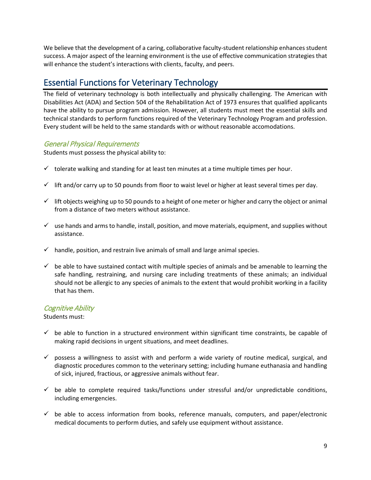We believe that the development of a caring, collaborative faculty-student relationship enhances student success. A major aspect of the learning environment is the use of effective communication strategies that will enhance the student's interactions with clients, faculty, and peers.

# <span id="page-8-0"></span>Essential Functions for Veterinary Technology

The field of veterinary technology is both intellectually and physically challenging. The American with Disabilities Act (ADA) and Section 504 of the Rehabilitation Act of 1973 ensures that qualified applicants have the ability to pursue program admission. However, all students must meet the essential skills and technical standards to perform functions required of the Veterinary Technology Program and profession. Every student will be held to the same standards with or without reasonable accomodations.

### General Physical Requirements

Students must possess the physical ability to:

- $\checkmark$  tolerate walking and standing for at least ten minutes at a time multiple times per hour.
- $\checkmark$  lift and/or carry up to 50 pounds from floor to waist level or higher at least several times per day.
- $\checkmark$  lift objects weighing up to 50 pounds to a height of one meter or higher and carry the object or animal from a distance of two meters without assistance.
- $\checkmark$  use hands and arms to handle, install, position, and move materials, equipment, and supplies without assistance.
- $\checkmark$  handle, position, and restrain live animals of small and large animal species.
- $\checkmark$  be able to have sustained contact witih multiple species of animals and be amenable to learning the safe handling, restraining, and nursing care including treatments of these animals; an individual should not be allergic to any species of animals to the extent that would prohibit working in a facility that has them.

### Cognitive Ability

Students must:

- $\checkmark$  be able to function in a structured environment within significant time constraints, be capable of making rapid decisions in urgent situations, and meet deadlines.
- $\checkmark$  possess a willingness to assist with and perform a wide variety of routine medical, surgical, and diagnostic procedures common to the veterinary setting; including humane euthanasia and handling of sick, injured, fractious, or aggressive animals without fear.
- $\checkmark$  be able to complete required tasks/functions under stressful and/or unpredictable conditions, including emergencies.
- $\checkmark$  be able to access information from books, reference manuals, computers, and paper/electronic medical documents to perform duties, and safely use equipment without assistance.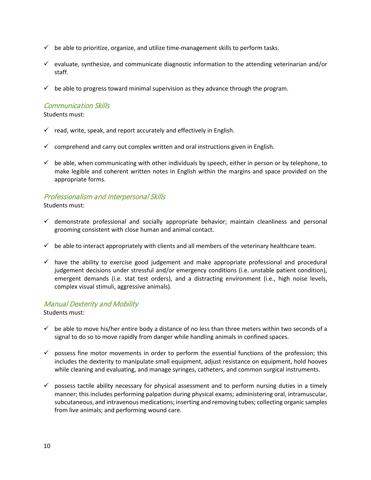- $\checkmark$  be able to prioritize, organize, and utilize time-management skills to perform tasks.
- $\checkmark$  evaluate, synthesize, and communicate diagnostic information to the attending veterinarian and/or staff.
- $\checkmark$  be able to progress toward minimal supervision as they advance through the program.

### Communication Skills

Students must:

- $\checkmark$  read, write, speak, and report accurately and effectively in English.
- $\checkmark$  comprehend and carry out complex written and oral instructions given in English.
- $\checkmark$  be able, when communicating with other individuals by speech, either in person or by telephone, to make legible and coherent written notes in English within the margins and space provided on the appropriate forms.

# Professionalism and Interpersonal Skills

Students must:

- $\checkmark$  demonstrate professional and socially appropriate behavior; maintain cleanliness and personal grooming consistent with close human and animal contact.
- $\checkmark$  be able to interact appropriately with clients and all members of the veterinary healthcare team.
- $\checkmark$  have the ability to exercise good judgement and make appropriate professional and procedural judgement decisions under stressful and/or emergency conditions (i.e. unstable patient condition), emergent demands (i.e. stat test orders), and a distracting environment (i.e., high noise levels, complex visual stimuli, aggressive animals).

### Manual Dexterity and Mobility

Students must:

- $\checkmark$  be able to move his/her entire body a distance of no less than three meters within two seconds of a signal to do so to move rapidly from danger while handling animals in confined spaces.
- $\checkmark$  possess fine motor movements in order to perform the essential functions of the profession; this includes the dexterity to manipulate small equipment, adjust resistance on equipment, hold hooves while cleaning and evaluating, and manage syringes, catheters, and common surgical instruments.
- $\checkmark$  possess tactile ability necessary for physical assessment and to perform nursing duties in a timely manner; this includes performing palpation during physical exams; administering oral, intramuscular, subcutaneous, and intravenous medications; inserting and removing tubes; collecting organic samples from live animals; and performing wound care.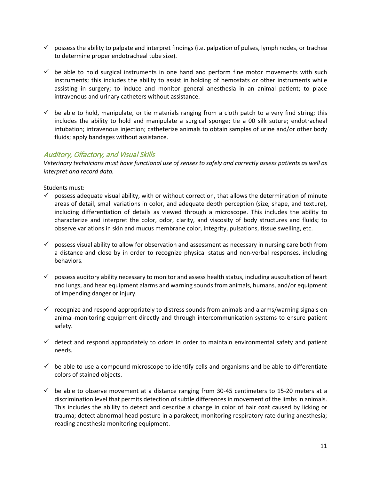- $\checkmark$  possess the ability to palpate and interpret findings (i.e. palpation of pulses, lymph nodes, or trachea to determine proper endotracheal tube size).
- $\checkmark$  be able to hold surgical instruments in one hand and perform fine motor movements with such instruments; this includes the ability to assist in holding of hemostats or other instruments while assisting in surgery; to induce and monitor general anesthesia in an animal patient; to place intravenous and urinary catheters without assistance.
- $\checkmark$  be able to hold, manipulate, or tie materials ranging from a cloth patch to a very find string; this includes the ability to hold and manipulate a surgical sponge; tie a 00 silk suture; endotracheal intubation; intravenous injection; catheterize animals to obtain samples of urine and/or other body fluids; apply bandages without assistance.

### Auditory, Olfactory, and Visual Skills

*Veterinary technicians must have functional use of senses to safely and correctly assess patients as well as interpret and record data.*

Students must:

- $\checkmark$  possess adequate visual ability, with or without correction, that allows the determination of minute areas of detail, small variations in color, and adequate depth perception (size, shape, and texture), including differentiation of details as viewed through a microscope. This includes the ability to characterize and interpret the color, odor, clarity, and viscosity of body structures and fluids; to observe variations in skin and mucus membrane color, integrity, pulsations, tissue swelling, etc.
- $\checkmark$  possess visual ability to allow for observation and assessment as necessary in nursing care both from a distance and close by in order to recognize physical status and non-verbal responses, including behaviors.
- $\checkmark$  possess auditory ability necessary to monitor and assess health status, including auscultation of heart and lungs, and hear equipment alarms and warning sounds from animals, humans, and/or equipment of impending danger or injury.
- $\checkmark$  recognize and respond appropriately to distress sounds from animals and alarms/warning signals on animal-monitoring equipment directly and through intercommunication systems to ensure patient safety.
- $\checkmark$  detect and respond appropriately to odors in order to maintain environmental safety and patient needs.
- $\checkmark$  be able to use a compound microscope to identify cells and organisms and be able to differentiate colors of stained objects.
- $\checkmark$  be able to observe movement at a distance ranging from 30-45 centimeters to 15-20 meters at a discrimination level that permits detection of subtle differences in movement of the limbs in animals. This includes the ability to detect and describe a change in color of hair coat caused by licking or trauma; detect abnormal head posture in a parakeet; monitoring respiratory rate during anesthesia; reading anesthesia monitoring equipment.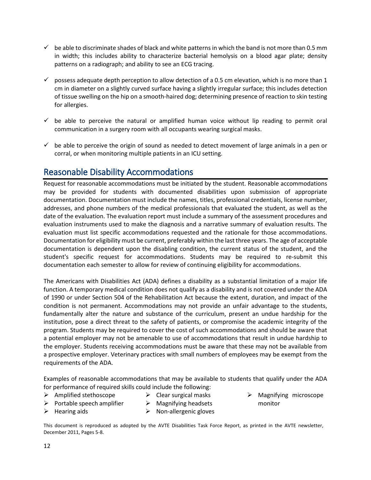- $\checkmark$  be able to discriminate shades of black and white patterns in which the band is not more than 0.5 mm in width; this includes ability to characterize bacterial hemolysis on a blood agar plate; density patterns on a radiograph; and ability to see an ECG tracing.
- $\checkmark$  possess adequate depth perception to allow detection of a 0.5 cm elevation, which is no more than 1 cm in diameter on a slightly curved surface having a slightly irregular surface; this includes detection of tissue swelling on the hip on a smooth-haired dog; determining presence of reaction to skin testing for allergies.
- $\checkmark$  be able to perceive the natural or amplified human voice without lip reading to permit oral communication in a surgery room with all occupants wearing surgical masks.
- $\checkmark$  be able to perceive the origin of sound as needed to detect movement of large animals in a pen or corral, or when monitoring multiple patients in an ICU setting.

# <span id="page-11-0"></span>Reasonable Disability Accommodations

Request for reasonable accommodations must be initiated by the student. Reasonable accommodations may be provided for students with documented disabilities upon submission of appropriate documentation. Documentation must include the names, titles, professional credentials, license number, addresses, and phone numbers of the medical professionals that evaluated the student, as well as the date of the evaluation. The evaluation report must include a summary of the assessment procedures and evaluation instruments used to make the diagnosis and a narrative summary of evaluation results. The evaluation must list specific accommodations requested and the rationale for those accommodations. Documentation for eligibility must be current, preferably within the last three years. The age of acceptable documentation is dependent upon the disabling condition, the current status of the student, and the student's specific request for accommodations. Students may be required to re-submit this documentation each semester to allow for review of continuing eligibility for accommodations.

The Americans with Disabilities Act (ADA) defines a disability as a substantial limitation of a major life function. A temporary medical condition does not qualify as a disability and is not covered under the ADA of 1990 or under Section 504 of the Rehabilitation Act because the extent, duration, and impact of the condition is not permanent. Accommodations may not provide an unfair advantage to the students, fundamentally alter the nature and substance of the curriculum, present an undue hardship for the institution, pose a direct threat to the safety of patients, or compromise the academic integrity of the program. Students may be required to cover the cost of such accommodations and should be aware that a potential employer may not be amenable to use of accommodations that result in undue hardship to the employer. Students receiving accommodations must be aware that these may not be available from a prospective employer. Veterinary practices with small numbers of employees may be exempt from the requirements of the ADA.

Examples of reasonable accommodations that may be available to students that qualify under the ADA for performance of required skills could include the following:

- $\triangleright$  Amplified stethoscope
- $\triangleright$  Clear surgical masks
- $\triangleright$  Portable speech amplifier
- $\triangleright$  Magnifying headsets
- $\triangleright$  Magnifying microscope monitor

 $\triangleright$  Hearing aids

 $\triangleright$  Non-allergenic gloves

This document is reproduced as adopted by the AVTE Disabilities Task Force Report, as printed in the AVTE newsletter, December 2011, Pages 5-8.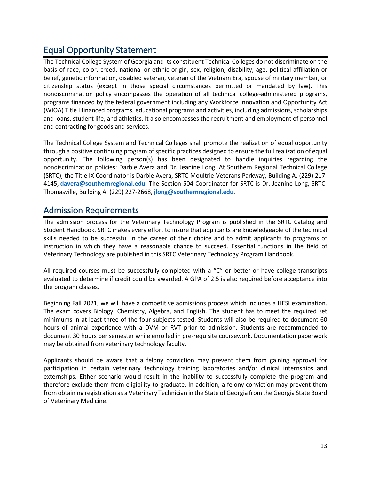# <span id="page-12-0"></span>Equal Opportunity Statement

The Technical College System of Georgia and its constituent Technical Colleges do not discriminate on the basis of race, color, creed, national or ethnic origin, sex, religion, disability, age, political affiliation or belief, genetic information, disabled veteran, veteran of the Vietnam Era, spouse of military member, or citizenship status (except in those special circumstances permitted or mandated by law). This nondiscrimination policy encompasses the operation of all technical college-administered programs, programs financed by the federal government including any Workforce Innovation and Opportunity Act (WIOA) Title I financed programs, educational programs and activities, including admissions, scholarships and loans, student life, and athletics. It also encompasses the recruitment and employment of personnel and contracting for goods and services.

The Technical College System and Technical Colleges shall promote the realization of equal opportunity through a positive continuing program of specific practices designed to ensure the full realization of equal opportunity. The following person(s) has been designated to handle inquiries regarding the nondiscrimination policies: Darbie Avera and Dr. Jeanine Long. At Southern Regional Technical College (SRTC), the Title IX Coordinator is Darbie Avera, SRTC-Moultrie-Veterans Parkway, Building A, (229) 217- 4145, **[davera@southernregional.edu](mailto:davera@southernregional.edu)**. The Section 504 Coordinator for SRTC is Dr. Jeanine Long, SRTC-Thomasville, Building A, (229) 227-2668, **[jlong@southernregional.edu](mailto:jlong@southernregional.edu)**.

# <span id="page-12-1"></span>Admission Requirements

The admission process for the Veterinary Technology Program is published in the SRTC Catalog and Student Handbook. SRTC makes every effort to insure that applicants are knowledgeable of the technical skills needed to be successful in the career of their choice and to admit applicants to programs of instruction in which they have a reasonable chance to succeed. Essential functions in the field of Veterinary Technology are published in this SRTC Veterinary Technology Program Handbook.

All required courses must be successfully completed with a "C" or better or have college transcripts evaluated to determine if credit could be awarded. A GPA of 2.5 is also required before acceptance into the program classes.

Beginning Fall 2021, we will have a competitive admissions process which includes a HESI examination. The exam covers Biology, Chemistry, Algebra, and English. The student has to meet the required set minimums in at least three of the four subjects tested. Students will also be required to document 60 hours of animal experience with a DVM or RVT prior to admission. Students are recommended to document 30 hours per semester while enrolled in pre-requisite coursework. Documentation paperwork may be obtained from veterinary technology faculty.

Applicants should be aware that a felony conviction may prevent them from gaining approval for participation in certain veterinary technology training laboratories and/or clinical internships and externships. Either scenario would result in the inability to successfully complete the program and therefore exclude them from eligibility to graduate. In addition, a felony conviction may prevent them from obtaining registration as a Veterinary Technician in the State of Georgia from the Georgia State Board of Veterinary Medicine.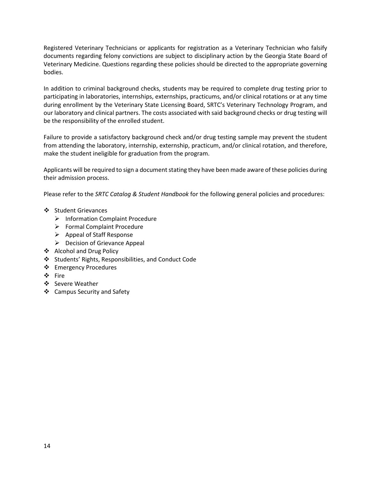Registered Veterinary Technicians or applicants for registration as a Veterinary Technician who falsify documents regarding felony convictions are subject to disciplinary action by the Georgia State Board of Veterinary Medicine. Questions regarding these policies should be directed to the appropriate governing bodies.

In addition to criminal background checks, students may be required to complete drug testing prior to participating in laboratories, internships, externships, practicums, and/or clinical rotations or at any time during enrollment by the Veterinary State Licensing Board, SRTC's Veterinary Technology Program, and our laboratory and clinical partners. The costs associated with said background checks or drug testing will be the responsibility of the enrolled student.

Failure to provide a satisfactory background check and/or drug testing sample may prevent the student from attending the laboratory, internship, externship, practicum, and/or clinical rotation, and therefore, make the student ineligible for graduation from the program.

Applicants will be required to sign a document stating they have been made aware of these policies during their admission process.

Please refer to the *SRTC Catalog & Student Handbook* for the following general policies and procedures:

- ❖ Student Grievances
	- $\triangleright$  Information Complaint Procedure
	- $\triangleright$  Formal Complaint Procedure
	- $\triangleright$  Appeal of Staff Response
	- $\triangleright$  Decision of Grievance Appeal
- ❖ Alcohol and Drug Policy
- Students' Rights, Responsibilities, and Conduct Code
- Emergency Procedures
- **※ Fire**
- ❖ Severe Weather
- Campus Security and Safety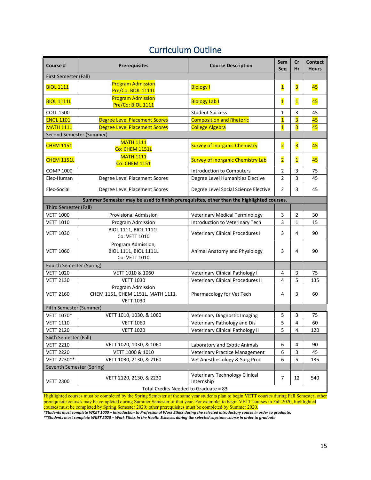# Curriculum Outline

<span id="page-14-0"></span>

| Course #                     | <b>Prerequisites</b>                                                                     | <b>Course Description</b>                    | Sem<br>Seg              | cr<br>Hr                | <b>Contact</b><br><b>Hours</b> |
|------------------------------|------------------------------------------------------------------------------------------|----------------------------------------------|-------------------------|-------------------------|--------------------------------|
| First Semester (Fall)        |                                                                                          |                                              |                         |                         |                                |
| <b>BIOL 1111</b>             | <b>Program Admission</b><br>Pre/Co: BIOL 1111L                                           | <b>Biology I</b>                             | $\overline{\mathbf{1}}$ | 3                       | 45                             |
| <b>BIOL 1111L</b>            | <b>Program Admission</b><br>Pre/Co: BIOL 1111                                            | <b>Biology Lab I</b>                         | $\overline{\mathbf{1}}$ | $\overline{\mathbf{1}}$ | 45                             |
| <b>COLL 1500</b>             |                                                                                          | <b>Student Success</b>                       | 1                       | 3                       | 45                             |
| <b>ENGL 1101</b>             | <b>Degree Level Placement Scores</b>                                                     | <b>Composition and Rhetoric</b>              | $\mathbf{1}$            | $\overline{\mathbf{3}}$ | 45                             |
| <b>MATH 1111</b>             | <b>Degree Level Placement Scores</b>                                                     | <b>College Algebra</b>                       | $\overline{1}$          | $\overline{\mathbf{3}}$ | 45                             |
| Second Semester (Summer)     |                                                                                          |                                              |                         |                         |                                |
| <b>CHEM 1151</b>             | <b>MATH 1111</b><br>Co: CHEM 1151L                                                       | <b>Survey of Inorganic Chemistry</b>         | $\overline{\mathbf{2}}$ | 3                       | 45                             |
| <b>CHEM 1151L</b>            | <b>MATH 1111</b><br><b>Co: CHEM 1151</b>                                                 | <b>Survey of Inorganic Chemistry Lab</b>     | $\overline{\mathbf{2}}$ | $\overline{\mathbf{1}}$ | 45                             |
| <b>COMP 1000</b>             |                                                                                          | <b>Introduction to Computers</b>             | $\overline{2}$          | 3                       | 75                             |
| Elec-Human                   | Degree Level Placement Scores                                                            | Degree Level Humanities Elective             | $\overline{2}$          | 3                       | 45                             |
| Elec-Social                  | Degree Level Placement Scores                                                            | Degree Level Social Science Elective         | $\overline{2}$          | 3                       | 45                             |
|                              | Summer Semester may be used to finish prerequisites, other than the highlighted courses. |                                              |                         |                         |                                |
| <b>Third Semester (Fall)</b> |                                                                                          |                                              |                         |                         |                                |
| <b>VETT 1000</b>             | <b>Provisional Admission</b>                                                             | <b>Veterinary Medical Terminology</b>        | 3                       | $\overline{2}$          | 30                             |
| <b>VETT 1010</b>             | Program Admission                                                                        | Introduction to Veterinary Tech              | 3                       | $\mathbf{1}$            | 15                             |
| <b>VETT 1030</b>             | BIOL 1111, BIOL 1111L<br>Co: VETT 1010                                                   | Veterinary Clinical Procedures I             | 3                       | 4                       | 90                             |
| <b>VETT 1060</b>             | Program Admission,<br>BIOL 1111, BIOL 1111L<br>Co: VETT 1010                             | Animal Anatomy and Physiology                | 3                       | 4                       | 90                             |
| Fourth Semester (Spring)     |                                                                                          |                                              |                         |                         |                                |
| <b>VETT 1020</b>             | VETT 1010 & 1060                                                                         | Veterinary Clinical Pathology I              | 4                       | 3                       | 75                             |
| <b>VETT 2130</b>             | <b>VETT 1030</b>                                                                         | <b>Veterinary Clinical Procedures II</b>     | $\overline{4}$          | 5                       | 135                            |
| <b>VETT 2160</b>             | Program Admission<br>CHEM 1151, CHEM 1151L, MATH 1111,<br><b>VETT 1030</b>               | Pharmacology for Vet Tech                    | 4                       | 3                       | 60                             |
| Fifth Semester (Summer)      |                                                                                          |                                              |                         |                         |                                |
| VETT 1070*                   | VETT 1010, 1030, & 1060                                                                  | Veterinary Diagnostic Imaging                | 5                       | 3                       | 75                             |
| <b>VETT 1110</b>             | <b>VETT 1060</b>                                                                         | Veterinary Pathology and Dis                 | 5                       | 4                       | 60                             |
| VETT 2120                    | VETT 1020                                                                                | Veterinary Clinical Pathology II             | 5                       | 4                       | 120                            |
| Sixth Semester (Fall)        |                                                                                          |                                              |                         |                         |                                |
| <b>VETT 2210</b>             | VETT 1020, 1030, & 1060                                                                  | Laboratory and Exotic Animals                | 6                       | 4                       | 90                             |
| <b>VETT 2220</b>             | VETT 1000 & 1010                                                                         | Veterinary Practice Management               | 6                       | 3                       | 45                             |
| VETT 2230**                  | VETT 1030, 2130, & 2160                                                                  | Vet Anesthesiology & Surg Proc               | 6                       | 5                       | 135                            |
| Seventh Semester (Spring)    |                                                                                          |                                              |                         |                         |                                |
| <b>VETT 2300</b>             | VETT 2120, 2130, & 2230                                                                  | Veterinary Technology Clinical<br>Internship | 7                       | 12                      | 540                            |
|                              | Total Credits Needed to Graduate = 83                                                    |                                              |                         |                         |                                |

Highlighted courses must be completed by the Spring Semester of the same year students plan to begin VETT courses during Fall Semester; other prerequisite courses may be completed during Summer Semester of that year. For example, to begin VETT courses in Fall 2020, highlighted courses must be completed by Spring Semester 2020; other prerequisites must be completed by Summer 2020.

*\*Students must complete WKET 1000 – Introduction to Professional Work Ethics during the selected introductory course in order to graduate.*

*\*\*Students must complete WKET 2020 – Work Ethics in the Health Sciences during the selected capstone course in order to graduate*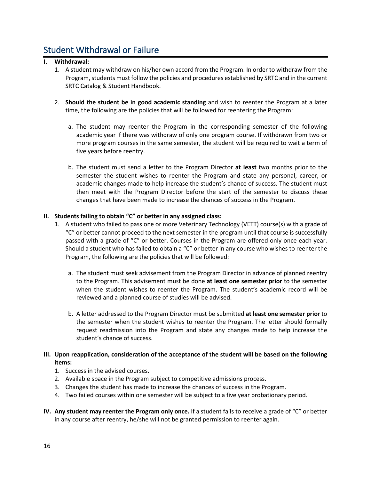# <span id="page-15-0"></span>Student Withdrawal or Failure

### **I. Withdrawal:**

- 1. A student may withdraw on his/her own accord from the Program. In order to withdraw from the Program, students must follow the policies and procedures established by SRTC and in the current SRTC Catalog & Student Handbook.
- 2. **Should the student be in good academic standing** and wish to reenter the Program at a later time, the following are the policies that will be followed for reentering the Program:
	- a. The student may reenter the Program in the corresponding semester of the following academic year if there was withdraw of only one program course. If withdrawn from two or more program courses in the same semester, the student will be required to wait a term of five years before reentry.
	- b. The student must send a letter to the Program Director **at least** two months prior to the semester the student wishes to reenter the Program and state any personal, career, or academic changes made to help increase the student's chance of success. The student must then meet with the Program Director before the start of the semester to discuss these changes that have been made to increase the chances of success in the Program.

### **II. Students failing to obtain "C" or better in any assigned class:**

- 1. A student who failed to pass one or more Veterinary Technology (VETT) course(s) with a grade of "C" or better cannot proceed to the next semester in the program until that course is successfully passed with a grade of "C" or better. Courses in the Program are offered only once each year. Should a student who has failed to obtain a "C" or better in any course who wishes to reenter the Program, the following are the policies that will be followed:
	- a. The student must seek advisement from the Program Director in advance of planned reentry to the Program. This advisement must be done **at least one semester prior** to the semester when the student wishes to reenter the Program. The student's academic record will be reviewed and a planned course of studies will be advised.
	- b. A letter addressed to the Program Director must be submitted **at least one semester prior** to the semester when the student wishes to reenter the Program. The letter should formally request readmission into the Program and state any changes made to help increase the student's chance of success.

### **III. Upon reapplication, consideration of the acceptance of the student will be based on the following items:**

- 1. Success in the advised courses.
- 2. Available space in the Program subject to competitive admissions process.
- 3. Changes the student has made to increase the chances of success in the Program.
- 4. Two failed courses within one semester will be subject to a five year probationary period.
- **IV. Any student may reenter the Program only once.** If a student fails to receive a grade of "C" or better in any course after reentry, he/she will not be granted permission to reenter again.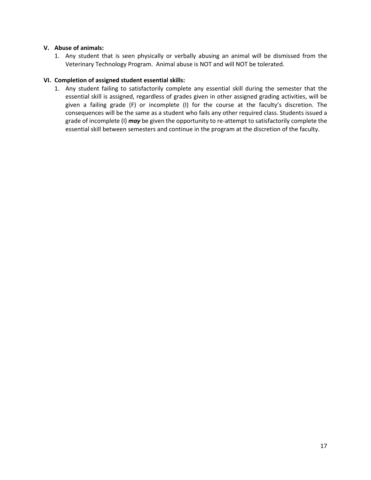### **V. Abuse of animals:**

1. Any student that is seen physically or verbally abusing an animal will be dismissed from the Veterinary Technology Program. Animal abuse is NOT and will NOT be tolerated.

### **VI. Completion of assigned student essential skills:**

1. Any student failing to satisfactorily complete any essential skill during the semester that the essential skill is assigned, regardless of grades given in other assigned grading activities, will be given a failing grade (F) or incomplete (I) for the course at the faculty's discretion. The consequences will be the same as a student who fails any other required class. Students issued a grade of incomplete (I) *may* be given the opportunity to re-attempt to satisfactorily complete the essential skill between semesters and continue in the program at the discretion of the faculty.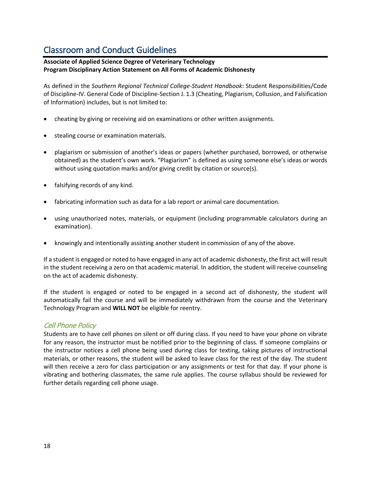# <span id="page-17-0"></span>Classroom and Conduct Guidelines

### **Associate of Applied Science Degree of Veterinary Technology Program Disciplinary Action Statement on All Forms of Academic Dishonesty**

As defined in the *Southern Regional Technical College-Student Handbook*: Student Responsibilities/Code of Discipline-IV. General Code of Discipline-Section J. 1.3 (Cheating, Plagiarism, Collusion, and Falsification of Information) includes, but is not limited to:

- cheating by giving or receiving aid on examinations or other written assignments.
- stealing course or examination materials.
- plagiarism or submission of another's ideas or papers (whether purchased, borrowed, or otherwise obtained) as the student's own work. "Plagiarism" is defined as using someone else's ideas or words without using quotation marks and/or giving credit by citation or source(s).
- falsifying records of any kind.
- fabricating information such as data for a lab report or animal care documentation.
- using unauthorized notes, materials, or equipment (including programmable calculators during an examination).
- knowingly and intentionally assisting another student in commission of any of the above.

If a student is engaged or noted to have engaged in any act of academic dishonesty, the first act will result in the student receiving a zero on that academic material. In addition, the student will receive counseling on the act of academic dishonesty.

If the student is engaged or noted to be engaged in a second act of dishonesty, the student will automatically fail the course and will be immediately withdrawn from the course and the Veterinary Technology Program and **WILL NOT** be eligible for reentry.

### Cell Phone Policy

Students are to have cell phones on silent or off during class. If you need to have your phone on vibrate for any reason, the instructor must be notified prior to the beginning of class. If someone complains or the instructor notices a cell phone being used during class for texting, taking pictures of instructional materials, or other reasons, the student will be asked to leave class for the rest of the day. The student will then receive a zero for class participation or any assignments or test for that day. If your phone is vibrating and bothering classmates, the same rule applies. The course syllabus should be reviewed for further details regarding cell phone usage.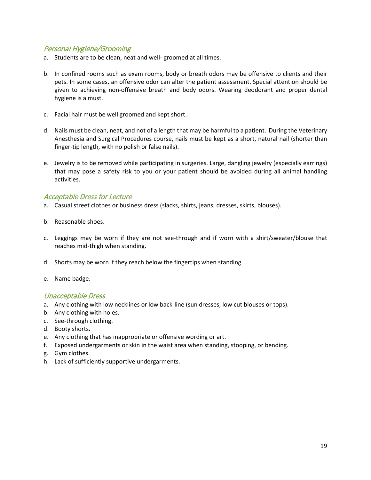### Personal Hygiene/Grooming

- a. Students are to be clean, neat and well- groomed at all times.
- b. In confined rooms such as exam rooms, body or breath odors may be offensive to clients and their pets. In some cases, an offensive odor can alter the patient assessment. Special attention should be given to achieving non-offensive breath and body odors. Wearing deodorant and proper dental hygiene is a must.
- c. Facial hair must be well groomed and kept short.
- d. Nails must be clean, neat, and not of a length that may be harmful to a patient. During the Veterinary Anesthesia and Surgical Procedures course, nails must be kept as a short, natural nail (shorter than finger-tip length, with no polish or false nails).
- e. Jewelry is to be removed while participating in surgeries. Large, dangling jewelry (especially earrings) that may pose a safety risk to you or your patient should be avoided during all animal handling activities.

### Acceptable Dress for Lecture

- a. Casual street clothes or business dress (slacks, shirts, jeans, dresses, skirts, blouses).
- b. Reasonable shoes.
- c. Leggings may be worn if they are not see-through and if worn with a shirt/sweater/blouse that reaches mid-thigh when standing.
- d. Shorts may be worn if they reach below the fingertips when standing.
- e. Name badge.

### Unacceptable Dress

- a. Any clothing with low necklines or low back-line (sun dresses, low cut blouses or tops).
- b. Any clothing with holes.
- c. See-through clothing.
- d. Booty shorts.
- e. Any clothing that has inappropriate or offensive wording or art.
- f. Exposed undergarments or skin in the waist area when standing, stooping, or bending.
- g. Gym clothes.
- h. Lack of sufficiently supportive undergarments.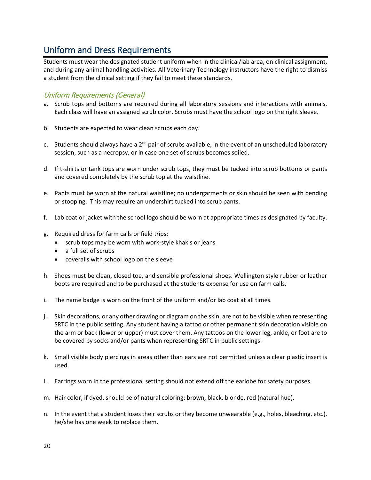# <span id="page-19-0"></span>Uniform and Dress Requirements

Students must wear the designated student uniform when in the clinical/lab area, on clinical assignment, and during any animal handling activities. All Veterinary Technology instructors have the right to dismiss a student from the clinical setting if they fail to meet these standards.

### Uniform Requirements (General)

- a. Scrub tops and bottoms are required during all laboratory sessions and interactions with animals. Each class will have an assigned scrub color. Scrubs must have the school logo on the right sleeve.
- b. Students are expected to wear clean scrubs each day.
- c. Students should always have a  $2^{nd}$  pair of scrubs available, in the event of an unscheduled laboratory session, such as a necropsy, or in case one set of scrubs becomes soiled.
- d. If t-shirts or tank tops are worn under scrub tops, they must be tucked into scrub bottoms or pants and covered completely by the scrub top at the waistline.
- e. Pants must be worn at the natural waistline; no undergarments or skin should be seen with bending or stooping. This may require an undershirt tucked into scrub pants.
- f. Lab coat or jacket with the school logo should be worn at appropriate times as designated by faculty.
- g. Required dress for farm calls or field trips:
	- scrub tops may be worn with work-style khakis or jeans
	- a full set of scrubs
	- coveralls with school logo on the sleeve
- h. Shoes must be clean, closed toe, and sensible professional shoes. Wellington style rubber or leather boots are required and to be purchased at the students expense for use on farm calls.
- i. The name badge is worn on the front of the uniform and/or lab coat at all times.
- j. Skin decorations, or any other drawing or diagram on the skin, are not to be visible when representing SRTC in the public setting. Any student having a tattoo or other permanent skin decoration visible on the arm or back (lower or upper) must cover them. Any tattoos on the lower leg, ankle, or foot are to be covered by socks and/or pants when representing SRTC in public settings.
- k. Small visible body piercings in areas other than ears are not permitted unless a clear plastic insert is used.
- l. Earrings worn in the professional setting should not extend off the earlobe for safety purposes.
- m. Hair color, if dyed, should be of natural coloring: brown, black, blonde, red (natural hue).
- n. In the event that a student loses their scrubs or they become unwearable (e.g., holes, bleaching, etc.), he/she has one week to replace them.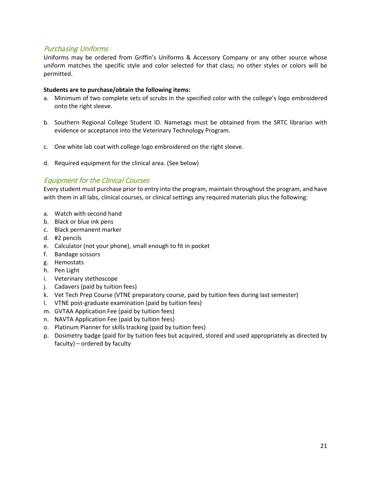### Purchasing Uniforms

Uniforms may be ordered from Griffin's Uniforms & Accessory Company or any other source whose uniform matches the specific style and color selected for that class; no other styles or colors will be permitted.

### **Students are to purchase/obtain the following items:**

- a. Minimum of two complete sets of scrubs in the specified color with the college's logo embroidered onto the right sleeve.
- b. Southern Regional College Student ID. Nametags must be obtained from the SRTC librarian with evidence or acceptance into the Veterinary Technology Program.
- c. One white lab coat with college logo embroidered on the right sleeve.
- d. Required equipment for the clinical area. (See below)

### Equipment for the Clinical Courses

Every student must purchase prior to entry into the program, maintain throughout the program, and have with them in all labs, clinical courses, or clinical settings any required materials plus the following:

- a. Watch with second hand
- b. Black or blue ink pens
- c. Black permanent marker
- d. #2 pencils
- e. Calculator (not your phone), small enough to fit in pocket
- f. Bandage scissors
- g. Hemostats
- h. Pen Light
- i. Veterinary stethoscope
- j. Cadavers (paid by tuition fees)
- k. Vet Tech Prep Course (VTNE preparatory course, paid by tuition fees during last semester)
- l. VTNE post-graduate examination (paid by tuition fees)
- m. GVTAA Application Fee (paid by tuition fees)
- n. NAVTA Application Fee (paid by tuition fees)
- o. Platinum Planner for skills tracking (paid by tuition fees)
- p. Dosimetry badge (paid for by tuition fees but acquired, stored and used appropriately as directed by faculty) – ordered by faculty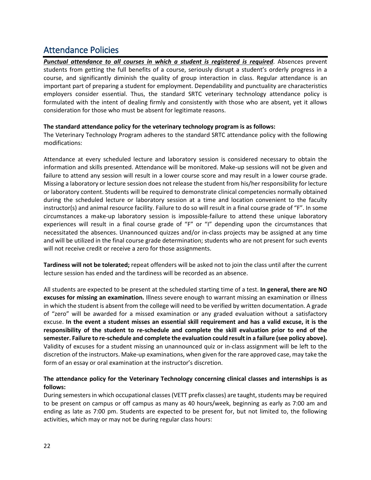# <span id="page-21-0"></span>Attendance Policies

*Punctual attendance to all courses in which a student is registered is required*. Absences prevent students from getting the full benefits of a course, seriously disrupt a student's orderly progress in a course, and significantly diminish the quality of group interaction in class. Regular attendance is an important part of preparing a student for employment. Dependability and punctuality are characteristics employers consider essential. Thus, the standard SRTC veterinary technology attendance policy is formulated with the intent of dealing firmly and consistently with those who are absent, yet it allows consideration for those who must be absent for legitimate reasons.

### **The standard attendance policy for the veterinary technology program is as follows:**

The Veterinary Technology Program adheres to the standard SRTC attendance policy with the following modifications:

Attendance at every scheduled lecture and laboratory session is considered necessary to obtain the information and skills presented. Attendance will be monitored. Make-up sessions will not be given and failure to attend any session will result in a lower course score and may result in a lower course grade. Missing a laboratory or lecture session does not release the student from his/her responsibility for lecture or laboratory content. Students will be required to demonstrate clinical competencies normally obtained during the scheduled lecture or laboratory session at a time and location convenient to the faculty instructor(s) and animal resource facility. Failure to do so will result in a final course grade of "F". In some circumstances a make-up laboratory session is impossible-failure to attend these unique laboratory experiences will result in a final course grade of "F" or "I" depending upon the circumstances that necessitated the absences. Unannounced quizzes and/or in-class projects may be assigned at any time and will be utilized in the final course grade determination; students who are not present for such events will not receive credit or receive a zero for those assignments.

**Tardiness will not be tolerated;** repeat offenders will be asked not to join the class until after the current lecture session has ended and the tardiness will be recorded as an absence.

All students are expected to be present at the scheduled starting time of a test. **In general, there are NO excuses for missing an examination.** Illness severe enough to warrant missing an examination or illness in which the student is absent from the college will need to be verified by written documentation. A grade of "zero" will be awarded for a missed examination or any graded evaluation without a satisfactory excuse. **In the event a student misses an essential skill requirement and has a valid excuse, it is the responsibility of the student to re-schedule and complete the skill evaluation prior to end of the semester. Failure to re-schedule and complete the evaluation could result in a failure (see policy above).** Validity of excuses for a student missing an unannounced quiz or in-class assignment will be left to the discretion of the instructors. Make-up examinations, when given for the rare approved case, may take the form of an essay or oral examination at the instructor's discretion.

### **The attendance policy for the Veterinary Technology concerning clinical classes and internships is as follows:**

During semesters in which occupational classes (VETT prefix classes) are taught, students may be required to be present on campus or off campus as many as 40 hours/week, beginning as early as 7:00 am and ending as late as 7:00 pm. Students are expected to be present for, but not limited to, the following activities, which may or may not be during regular class hours: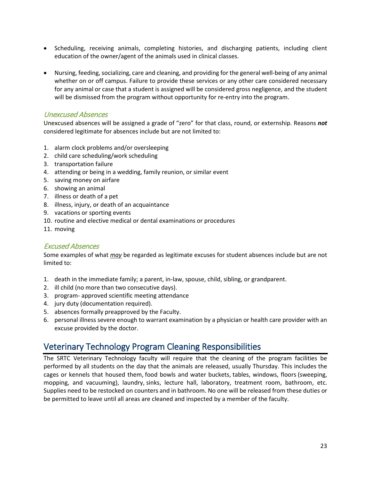- Scheduling, receiving animals, completing histories, and discharging patients, including client education of the owner/agent of the animals used in clinical classes.
- Nursing, feeding, socializing, care and cleaning, and providing for the general well-being of any animal whether on or off campus. Failure to provide these services or any other care considered necessary for any animal or case that a student is assigned will be considered gross negligence, and the student will be dismissed from the program without opportunity for re-entry into the program.

### Unexcused Absences

Unexcused absences will be assigned a grade of "zero" for that class, round, or externship. Reasons *not*  considered legitimate for absences include but are not limited to:

- 1. alarm clock problems and/or oversleeping
- 2. child care scheduling/work scheduling
- 3. transportation failure
- 4. attending or being in a wedding, family reunion, or similar event
- 5. saving money on airfare
- 6. showing an animal
- 7. illness or death of a pet
- 8. illness, injury, or death of an acquaintance
- 9. vacations or sporting events
- 10. routine and elective medical or dental examinations or procedures
- 11. moving

### Excused Absences

Some examples of what *may* be regarded as legitimate excuses for student absences include but are not limited to:

- 1. death in the immediate family; a parent, in-law, spouse, child, sibling, or grandparent.
- 2. ill child (no more than two consecutive days).
- 3. program- approved scientific meeting attendance
- 4. jury duty (documentation required).
- 5. absences formally preapproved by the Faculty.
- 6. personal illness severe enough to warrant examination by a physician or health care provider with an excuse provided by the doctor.

# <span id="page-22-0"></span>Veterinary Technology Program Cleaning Responsibilities

The SRTC Veterinary Technology faculty will require that the cleaning of the program facilities be performed by all students on the day that the animals are released, usually Thursday. This includes the cages or kennels that housed them, food bowls and water buckets, tables, windows, floors (sweeping, mopping, and vacuuming), laundry, sinks, lecture hall, laboratory, treatment room, bathroom, etc. Supplies need to be restocked on counters and in bathroom. No one will be released from these duties or be permitted to leave until all areas are cleaned and inspected by a member of the faculty.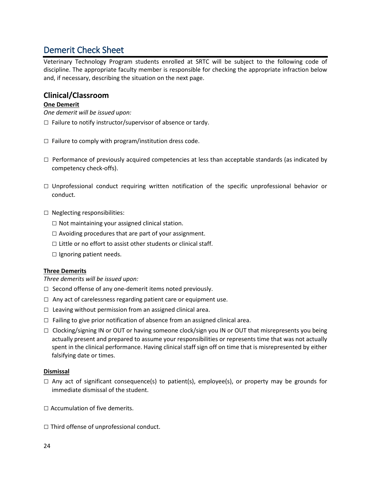# <span id="page-23-0"></span>Demerit Check Sheet

Veterinary Technology Program students enrolled at SRTC will be subject to the following code of discipline. The appropriate faculty member is responsible for checking the appropriate infraction below and, if necessary, describing the situation on the next page.

### **Clinical/Classroom**

### **One Demerit**

*One demerit will be issued upon:*

- $\Box$  Failure to notify instructor/supervisor of absence or tardy.
- $\Box$  Failure to comply with program/institution dress code.
- $\square$  Performance of previously acquired competencies at less than acceptable standards (as indicated by competency check-offs).
- $\square$  Unprofessional conduct requiring written notification of the specific unprofessional behavior or conduct.
- □ Neglecting responsibilities:
	- $\square$  Not maintaining your assigned clinical station.
	- $\square$  Avoiding procedures that are part of your assignment.
	- $\Box$  Little or no effort to assist other students or clinical staff.
	- $\Box$  Ignoring patient needs.

### **Three Demerits**

*Three demerits will be issued upon:*

- $\Box$  Second offense of any one-demerit items noted previously.
- $\Box$  Any act of carelessness regarding patient care or equipment use.
- $\Box$  Leaving without permission from an assigned clinical area.
- $\Box$  Failing to give prior notification of absence from an assigned clinical area.
- $\Box$  Clocking/signing IN or OUT or having someone clock/sign you IN or OUT that misrepresents you being actually present and prepared to assume your responsibilities or represents time that was not actually spent in the clinical performance. Having clinical staff sign off on time that is misrepresented by either falsifying date or times.

### **Dismissal**

- $\square$  Any act of significant consequence(s) to patient(s), employee(s), or property may be grounds for immediate dismissal of the student.
- $\Box$  Accumulation of five demerits.
- $\square$  Third offense of unprofessional conduct.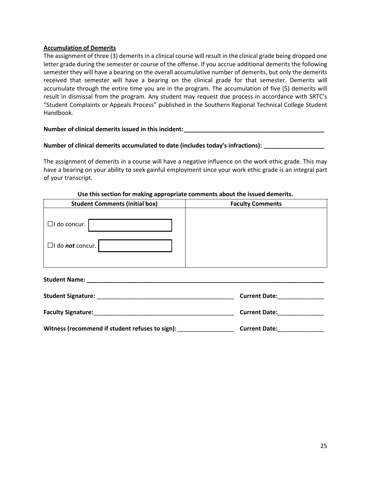### **Accumulation of Demerits**

The assignment of three (3) demerits in a clinical course will result in the clinical grade being dropped one letter grade during the semester or course of the offense. If you accrue additional demerits the following semester they will have a bearing on the overall accumulative number of demerits, but only the demerits received that semester will have a bearing on the clinical grade for that semester. Demerits will accumulate through the entire time you are in the program. The accumulation of five (5) demerits will result in dismissal from the program. Any student may request due process in accordance with SRTC's "Student Complaints or Appeals Process" published in the Southern Regional Technical College Student Handbook.

### **Number of clinical demerits issued in this incident:\_\_\_\_\_\_\_\_\_\_\_\_\_\_\_\_\_\_\_\_\_\_\_\_\_\_\_\_\_\_\_\_\_\_\_\_\_\_\_\_\_\_**

### **Number of clinical demerits accumulated to date (includes today's infractions): \_\_\_\_\_\_\_\_\_\_\_\_\_\_\_\_\_\_**

The assignment of demerits in a course will have a negative influence on the work ethic grade. This may have a bearing on your ability to seek gainful employment since your work ethic grade is an integral part of your transcript.

| <b>Student Comments (initial box)</b>                 | <b>Faculty Comments</b>           |
|-------------------------------------------------------|-----------------------------------|
| $\Box$ I do concur.<br>$\Box$ I do <i>not</i> concur. |                                   |
|                                                       |                                   |
|                                                       | Current Date: <b>Example 2018</b> |
|                                                       | <b>Current Date:</b>              |
| Witness (recommend if student refuses to sign):       | <b>Current Date:</b>              |

### **Use this section for making appropriate comments about the issued demerits.**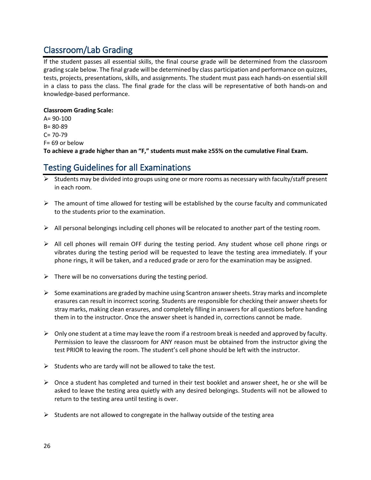# <span id="page-25-0"></span>Classroom/Lab Grading

If the student passes all essential skills, the final course grade will be determined from the classroom grading scale below. The final grade will be determined by class participation and performance on quizzes, tests, projects, presentations, skills, and assignments. The student must pass each hands-on essential skill in a class to pass the class. The final grade for the class will be representative of both hands-on and knowledge-based performance.

### **Classroom Grading Scale:**

A= 90-100 B= 80-89  $C = 70-79$ F= 69 or below **To achieve a grade higher than an "F," students must make ≥55% on the cumulative Final Exam.**

# <span id="page-25-1"></span>Testing Guidelines for all Examinations

- $\triangleright$  Students may be divided into groups using one or more rooms as necessary with faculty/staff present in each room.
- $\triangleright$  The amount of time allowed for testing will be established by the course faculty and communicated to the students prior to the examination.
- $\triangleright$  All personal belongings including cell phones will be relocated to another part of the testing room.
- $\triangleright$  All cell phones will remain OFF during the testing period. Any student whose cell phone rings or vibrates during the testing period will be requested to leave the testing area immediately. If your phone rings, it will be taken, and a reduced grade or zero for the examination may be assigned.
- $\triangleright$  There will be no conversations during the testing period.
- $\triangleright$  Some examinations are graded by machine using Scantron answer sheets. Stray marks and incomplete erasures can result in incorrect scoring. Students are responsible for checking their answer sheets for stray marks, making clean erasures, and completely filling in answers for all questions before handing them in to the instructor. Once the answer sheet is handed in, corrections cannot be made.
- $\triangleright$  Only one student at a time may leave the room if a restroom break is needed and approved by faculty. Permission to leave the classroom for ANY reason must be obtained from the instructor giving the test PRIOR to leaving the room. The student's cell phone should be left with the instructor.
- $\triangleright$  Students who are tardy will not be allowed to take the test.
- $\triangleright$  Once a student has completed and turned in their test booklet and answer sheet, he or she will be asked to leave the testing area quietly with any desired belongings. Students will not be allowed to return to the testing area until testing is over.
- $\triangleright$  Students are not allowed to congregate in the hallway outside of the testing area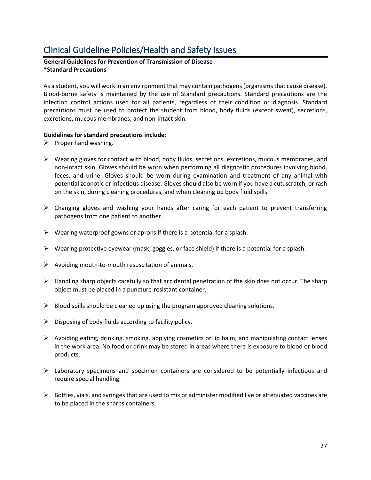# <span id="page-26-0"></span>Clinical Guideline Policies/Health and Safety Issues

### **General Guidelines for Prevention of Transmission of Disease \*Standard Precautions**

As a student, you will work in an environment that may contain pathogens (organisms that cause disease). Blood-borne safety is maintained by the use of Standard precautions. Standard precautions are the infection control actions used for all patients, regardless of their condition or diagnosis. Standard precautions must be used to protect the student from blood, body fluids (except sweat), secretions, excretions, mucous membranes, and non-intact skin.

### **Guidelines for standard precautions include:**

- $\triangleright$  Proper hand washing.
- $\triangleright$  Wearing gloves for contact with blood, body fluids, secretions, excretions, mucous membranes, and non-intact skin. Gloves should be worn when performing all diagnostic procedures involving blood, feces, and urine. Gloves should be worn during examination and treatment of any animal with potential zoonotic or infectious disease. Gloves should also be worn if you have a cut, scratch, or rash on the skin, during cleaning procedures, and when cleaning up body fluid spills.
- Changing gloves and washing your hands after caring for each patient to prevent transferring pathogens from one patient to another.
- $\triangleright$  Wearing waterproof gowns or aprons if there is a potential for a splash.
- $\triangleright$  Wearing protective eyewear (mask, goggles, or face shield) if there is a potential for a splash.
- $\triangleright$  Avoiding mouth-to-mouth resuscitation of animals.
- $\triangleright$  Handling sharp objects carefully so that accidental penetration of the skin does not occur. The sharp object must be placed in a puncture-resistant container.
- $\triangleright$  Blood spills should be cleaned up using the program approved cleaning solutions.
- $\triangleright$  Disposing of body fluids according to facility policy.
- $\triangleright$  Avoiding eating, drinking, smoking, applying cosmetics or lip balm, and manipulating contact lenses in the work area. No food or drink may be stored in areas where there is exposure to blood or blood products.
- $\triangleright$  Laboratory specimens and specimen containers are considered to be potentially infectious and require special handling.
- $\triangleright$  Bottles, vials, and syringes that are used to mix or administer modified live or attenuated vaccines are to be placed in the sharps containers.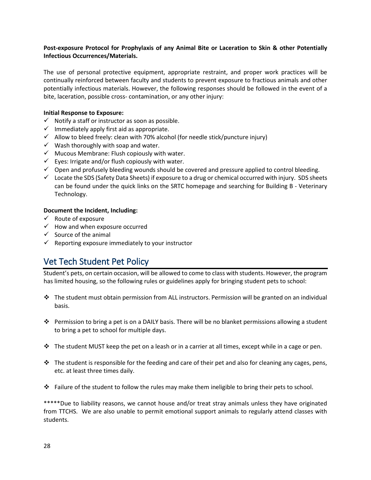### **Post-exposure Protocol for Prophylaxis of any Animal Bite or Laceration to Skin & other Potentially Infectious Occurrences/Materials.**

The use of personal protective equipment, appropriate restraint, and proper work practices will be continually reinforced between faculty and students to prevent exposure to fractious animals and other potentially infectious materials. However, the following responses should be followed in the event of a bite, laceration, possible cross- contamination, or any other injury:

### **Initial Response to Exposure:**

- $\checkmark$  Notify a staff or instructor as soon as possible.
- $\checkmark$  Immediately apply first aid as appropriate.
- $\checkmark$  Allow to bleed freely: clean with 70% alcohol (for needle stick/puncture injury)
- $\checkmark$  Wash thoroughly with soap and water.
- $\checkmark$  Mucous Membrane: Flush copiously with water.
- $\checkmark$  Eyes: Irrigate and/or flush copiously with water.
- $\checkmark$  Open and profusely bleeding wounds should be covered and pressure applied to control bleeding.
- $\checkmark$  Locate the SDS (Safety Data Sheets) if exposure to a drug or chemical occurred with injury. SDS sheets can be found under the quick links on the SRTC homepage and searching for Building B - Veterinary Technology.

### **Document the Incident, Including:**

- $\checkmark$  Route of exposure
- $\checkmark$  How and when exposure occurred
- $\checkmark$  Source of the animal
- $\checkmark$  Reporting exposure immediately to your instructor

# <span id="page-27-0"></span>Vet Tech Student Pet Policy

Student's pets, on certain occasion, will be allowed to come to class with students. However, the program has limited housing, so the following rules or guidelines apply for bringing student pets to school:

- $\cdot \cdot$  The student must obtain permission from ALL instructors. Permission will be granted on an individual basis.
- Permission to bring a pet is on a DAILY basis. There will be no blanket permissions allowing a student to bring a pet to school for multiple days.
- $\div$  The student MUST keep the pet on a leash or in a carrier at all times, except while in a cage or pen.
- $\cdot \cdot$  The student is responsible for the feeding and care of their pet and also for cleaning any cages, pens, etc. at least three times daily.
- $\div$  Failure of the student to follow the rules may make them ineligible to bring their pets to school.

\*\*\*\*\*Due to liability reasons, we cannot house and/or treat stray animals unless they have originated from TTCHS. We are also unable to permit emotional support animals to regularly attend classes with students.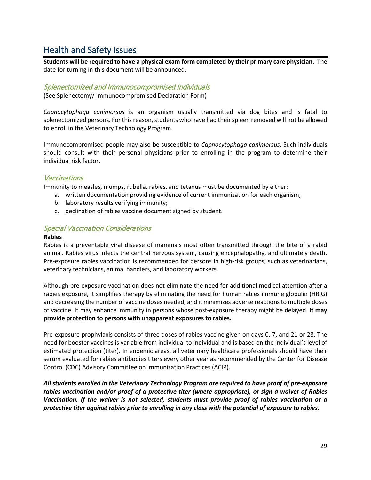# <span id="page-28-0"></span>Health and Safety Issues

**Students will be required to have a physical exam form completed by their primary care physician.** The date for turning in this document will be announced.

### Splenectomized and Immunocompromised Individuals

(See Splenectomy/ Immunocompromised Declaration Form)

*Capnocytophaga canimorsus* is an organism usually transmitted via dog bites and is fatal to splenectomized persons. For this reason, students who have had their spleen removed will not be allowed to enroll in the Veterinary Technology Program.

Immunocompromised people may also be susceptible to *Capnocytophaga canimorsus*. Such individuals should consult with their personal physicians prior to enrolling in the program to determine their individual risk factor.

### Vaccinations

Immunity to measles, mumps, rubella, rabies, and tetanus must be documented by either:

- a. written documentation providing evidence of current immunization for each organism;
- b. laboratory results verifying immunity;
- c. declination of rabies vaccine document signed by student.

### Special Vaccination Considerations

### **Rabies**

Rabies is a preventable viral disease of mammals most often transmitted through the bite of a rabid animal. Rabies virus infects the central nervous system, causing encephalopathy, and ultimately death. Pre-exposure rabies vaccination is recommended for persons in high-risk groups, such as veterinarians, veterinary technicians, animal handlers, and laboratory workers.

Although pre-exposure vaccination does not eliminate the need for additional medical attention after a rabies exposure, it simplifies therapy by eliminating the need for human rabies immune globulin (HRIG) and decreasing the number of vaccine doses needed, and it minimizes adverse reactions to multiple doses of vaccine. It may enhance immunity in persons whose post-exposure therapy might be delayed. **It may provide protection to persons with unapparent exposures to rabies.**

Pre-exposure prophylaxis consists of three doses of rabies vaccine given on days 0, 7, and 21 or 28. The need for booster vaccines is variable from individual to individual and is based on the individual's level of estimated protection (titer). In endemic areas, all veterinary healthcare professionals should have their serum evaluated for rabies antibodies titers every other year as recommended by the Center for Disease Control (CDC) Advisory Committee on Immunization Practices (ACIP).

*All students enrolled in the Veterinary Technology Program are required to have proof of pre-exposure rabies vaccination and/or proof of a protective titer (where appropriate), or sign a waiver of Rabies Vaccination. If the waiver is not selected, students must provide proof of rabies vaccination or a protective titer against rabies prior to enrolling in any class with the potential of exposure to rabies.*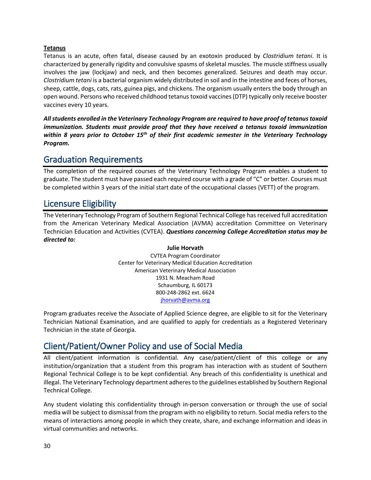### **Tetanus**

Tetanus is an acute, often fatal, disease caused by an exotoxin produced by *Clostridium tetani*. It is characterized by generally rigidity and convulsive spasms of skeletal muscles. The muscle stiffness usually involves the jaw (lockjaw) and neck, and then becomes generalized. Seizures and death may occur. *Clostridium tetani* is a bacterial organism widely distributed in soil and in the intestine and feces of horses, sheep, cattle, dogs, cats, rats, guinea pigs, and chickens. The organism usually enters the body through an open wound. Persons who received childhood tetanus toxoid vaccines (DTP) typically only receive booster vaccines every 10 years.

*All students enrolled in the Veterinary Technology Program are required to have proof of tetanus toxoid immunization. Students must provide proof that they have received a tetanus toxoid immunization within 8 years prior to October 15th of their first academic semester in the Veterinary Technology Program.*

# <span id="page-29-0"></span>Graduation Requirements

The completion of the required courses of the Veterinary Technology Program enables a student to graduate. The student must have passed each required course with a grade of "C" or better. Courses must be completed within 3 years of the initial start date of the occupational classes (VETT) of the program.

# <span id="page-29-1"></span>Licensure Eligibility

The Veterinary Technology Program of Southern Regional Technical College has received full accreditation from the American Veterinary Medical Association (AVMA) accreditation Committee on Veterinary Technician Education and Activities (CVTEA). *Questions concerning College Accreditation status may be directed to:*

### **Julie Horvath** CVTEA Program Coordinator Center for Veterinary Medical Education Accreditation American Veterinary Medical Association 1931 N. Meacham Road Schaumburg, IL 60173 800-248-2862 ext. 6624 [jhorvath@avma.org](mailto:jhorvath@avma.org)

Program graduates receive the Associate of Applied Science degree, are eligible to sit for the Veterinary Technician National Examination, and are qualified to apply for credentials as a Registered Veterinary Technician in the state of Georgia.

# <span id="page-29-2"></span>Client/Patient/Owner Policy and use of Social Media

All client/patient information is confidential. Any case/patient/client of this college or any institution/organization that a student from this program has interaction with as student of Southern Regional Technical College is to be kept confidential. Any breach of this confidentiality is unethical and illegal. The Veterinary Technology department adheresto the guidelines established by Southern Regional Technical College.

Any student violating this confidentiality through in-person conversation or through the use of social media will be subject to dismissal from the program with no eligibility to return. Social media refers to the means of interactions among people in which they create, share, and exchange information and ideas in virtual communities and networks.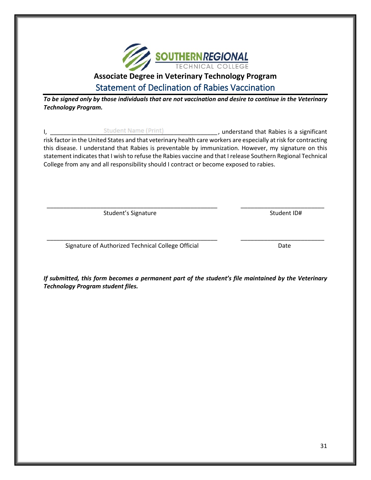

**Associate Degree in Veterinary Technology Program** Statement of Declination of Rabies Vaccination

<span id="page-30-0"></span>*To be signed only by those individuals that are not vaccination and desire to continue in the Veterinary Technology Program.*

I, \_\_\_\_\_\_\_\_\_\_\_\_\_\_\_\_\_\_\_\_\_\_\_\_\_\_\_\_\_\_\_\_\_\_\_\_\_\_\_\_\_\_\_\_\_\_\_\_\_\_, understand that Rabies is a significant risk factor in the United States and that veterinary health care workers are especially at risk for contracting this disease. I understand that Rabies is preventable by immunization. However, my signature on this statement indicates that I wish to refuse the Rabies vaccine and that I release Southern Regional Technical College from any and all responsibility should I contract or become exposed to rabies.

\_\_\_\_\_\_\_\_\_\_\_\_\_\_\_\_\_\_\_\_\_\_\_\_\_\_\_\_\_\_\_\_\_\_\_\_\_\_\_\_\_\_\_\_\_\_\_\_\_\_\_ \_\_\_\_\_\_\_\_\_\_\_\_\_\_\_\_\_\_\_\_\_\_\_\_\_

\_\_\_\_\_\_\_\_\_\_\_\_\_\_\_\_\_\_\_\_\_\_\_\_\_\_\_\_\_\_\_\_\_\_\_\_\_\_\_\_\_\_\_\_\_\_\_\_\_\_\_ \_\_\_\_\_\_\_\_\_\_\_\_\_\_\_\_\_\_\_\_\_\_\_\_\_

Student's Signature Student ID#

Signature of Authorized Technical College Official Date

*If submitted, this form becomes a permanent part of the student's file maintained by the Veterinary Technology Program student files.*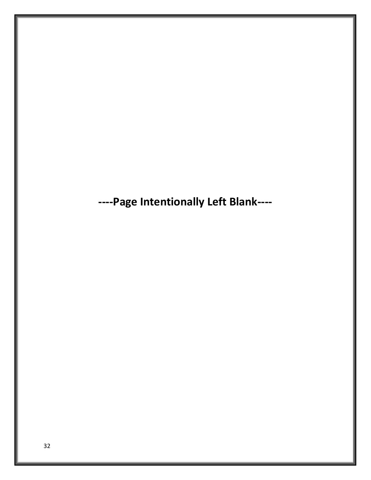**----Page Intentionally Left Blank----**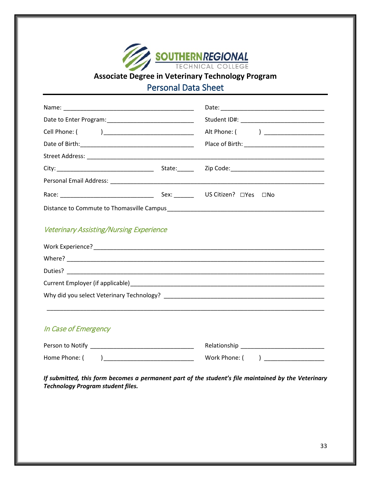

**Associate Degree in Veterinary Technology Program**

# Personal Data Sheet

<span id="page-32-0"></span>

|                                                                                                     |  | Alt Phone: ( ) ____________________ |
|-----------------------------------------------------------------------------------------------------|--|-------------------------------------|
|                                                                                                     |  |                                     |
|                                                                                                     |  |                                     |
|                                                                                                     |  |                                     |
|                                                                                                     |  |                                     |
|                                                                                                     |  |                                     |
|                                                                                                     |  |                                     |
| <b>Veterinary Assisting/Nursing Experience</b>                                                      |  |                                     |
|                                                                                                     |  |                                     |
|                                                                                                     |  |                                     |
|                                                                                                     |  |                                     |
|                                                                                                     |  |                                     |
|                                                                                                     |  |                                     |
|                                                                                                     |  |                                     |
| In Case of Emergency                                                                                |  |                                     |
|                                                                                                     |  |                                     |
| Home Phone: ( )                                                                                     |  | Work Phone: ( ) _________________   |
| If submitted, this form becomes a permanent part of the student's file maintained by the Veterinary |  |                                     |

*Technology Program student files.*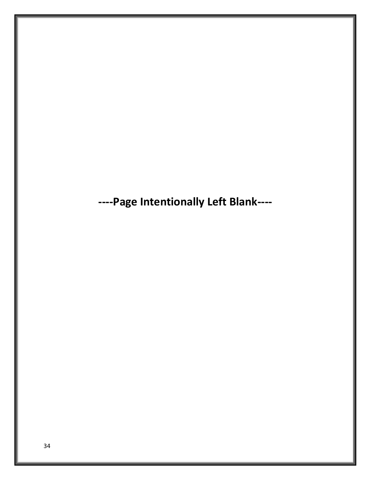**----Page Intentionally Left Blank----**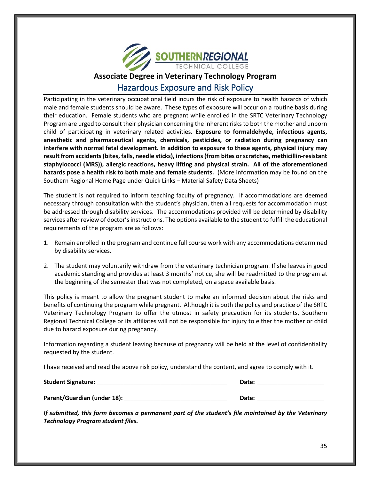

# **Associate Degree in Veterinary Technology Program** Hazardous Exposure and Risk Policy

<span id="page-34-0"></span>Participating in the veterinary occupational field incurs the risk of exposure to health hazards of which male and female students should be aware. These types of exposure will occur on a routine basis during their education. Female students who are pregnant while enrolled in the SRTC Veterinary Technology Program are urged to consult their physician concerning the inherent risks to both the mother and unborn child of participating in veterinary related activities. **Exposure to formaldehyde, infectious agents, anesthetic and pharmaceutical agents, chemicals, pesticides, or radiation during pregnancy can interfere with normal fetal development. In addition to exposure to these agents, physical injury may result from accidents (bites, falls, needle sticks), infections (from bites or scratches, methicillin-resistant staphylococci (MRS)), allergic reactions, heavy lifting and physical strain. All of the aforementioned hazards pose a health risk to both male and female students.** (More information may be found on the Southern Regional Home Page under Quick Links – Material Safety Data Sheets)

The student is not required to inform teaching faculty of pregnancy. If accommodations are deemed necessary through consultation with the student's physician, then all requests for accommodation must be addressed through disability services. The accommodations provided will be determined by disability services after review of doctor's instructions. The options available to the student to fulfill the educational requirements of the program are as follows:

- 1. Remain enrolled in the program and continue full course work with any accommodations determined by disability services.
- 2. The student may voluntarily withdraw from the veterinary technician program. If she leaves in good academic standing and provides at least 3 months' notice, she will be readmitted to the program at the beginning of the semester that was not completed, on a space available basis.

This policy is meant to allow the pregnant student to make an informed decision about the risks and benefits of continuing the program while pregnant. Although it is both the policy and practice of the SRTC Veterinary Technology Program to offer the utmost in safety precaution for its students, Southern Regional Technical College or its affiliates will not be responsible for injury to either the mother or child due to hazard exposure during pregnancy.

Information regarding a student leaving because of pregnancy will be held at the level of confidentiality requested by the student.

I have received and read the above risk policy, understand the content, and agree to comply with it.

| <b>Student Signature:</b>   | Date: |
|-----------------------------|-------|
| Parent/Guardian (under 18): | Date: |

*If submitted, this form becomes a permanent part of the student's file maintained by the Veterinary Technology Program student files.*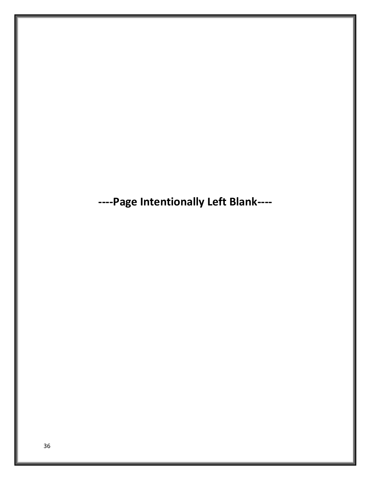**----Page Intentionally Left Blank----**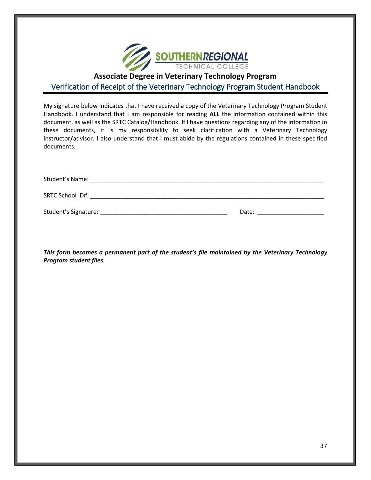

### <span id="page-36-0"></span>**Associate Degree in Veterinary Technology Program** Verification of Receipt of the Veterinary Technology Program Student Handbook

My signature below indicates that I have received a copy of the Veterinary Technology Program Student Handbook. I understand that I am responsible for reading **ALL** the information contained within this document, as well as the SRTC Catalog**/**Handbook. If I have questions regarding any of the information in these documents, it is my responsibility to seek clarification with a Veterinary Technology instructor**/**advisor. I also understand that I must abide by the regulations contained in these specified documents.

| Student's Name:  |  |
|------------------|--|
|                  |  |
| SRTC School ID#: |  |
|                  |  |

Student's Signature: \_\_\_\_\_\_\_\_\_\_\_\_\_\_\_\_\_\_\_\_\_\_\_\_\_\_\_\_\_\_\_\_\_\_\_\_\_\_ Date: \_\_\_\_\_\_\_\_\_\_\_\_\_\_\_\_\_\_\_\_

*This form becomes a permanent part of the student's file maintained by the Veterinary Technology Program student files.*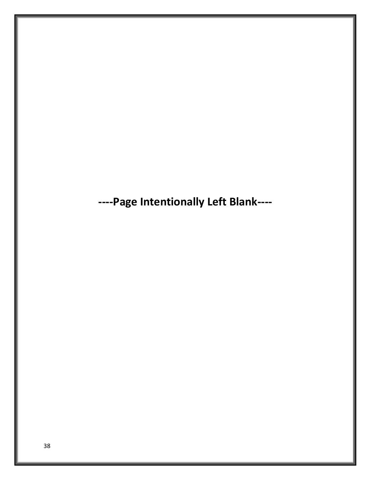**----Page Intentionally Left Blank----**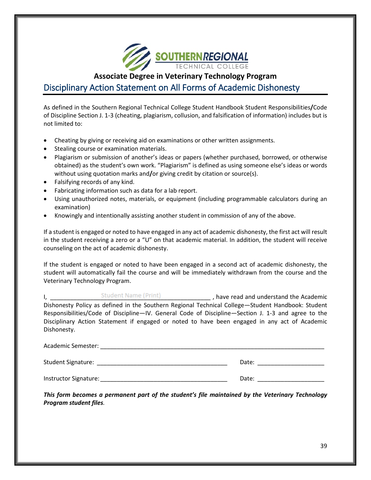

### **Associate Degree in Veterinary Technology Program**

# <span id="page-38-0"></span>Disciplinary Action Statement on All Forms of Academic Dishonesty

As defined in the Southern Regional Technical College Student Handbook Student Responsibilities**/**Code of Discipline Section J. 1-3 (cheating, plagiarism, collusion, and falsification of information) includes but is not limited to:

- Cheating by giving or receiving aid on examinations or other written assignments.
- Stealing course or examination materials.
- Plagiarism or submission of another's ideas or papers (whether purchased, borrowed, or otherwise obtained) as the student's own work. "Plagiarism" is defined as using someone else's ideas or words without using quotation marks and**/**or giving credit by citation or source(s).
- Falsifying records of any kind.
- Fabricating information such as data for a lab report.
- Using unauthorized notes, materials, or equipment (including programmable calculators during an examination)
- Knowingly and intentionally assisting another student in commission of any of the above.

If a student is engaged or noted to have engaged in any act of academic dishonesty, the first act will result in the student receiving a zero or a "U" on that academic material. In addition, the student will receive counseling on the act of academic dishonesty.

If the student is engaged or noted to have been engaged in a second act of academic dishonesty, the student will automatically fail the course and will be immediately withdrawn from the course and the Veterinary Technology Program.

I, The student Name (Print) **Example 20 and Student Name (Print)** , have read and understand the Academic Dishonesty Policy as defined in the Southern Regional Technical College—Student Handbook: Student Responsibilities/Code of Discipline—IV. General Code of Discipline—Section J. 1-3 and agree to the Disciplinary Action Statement if engaged or noted to have been engaged in any act of Academic Dishonesty.

| Academic Semester:        |       |
|---------------------------|-------|
| <b>Student Signature:</b> | Date: |
| Instructor Signature:     | Date: |

*This form becomes a permanent part of the student's file maintained by the Veterinary Technology Program student files.*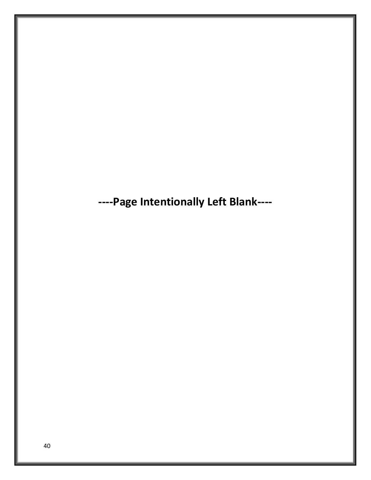**----Page Intentionally Left Blank----**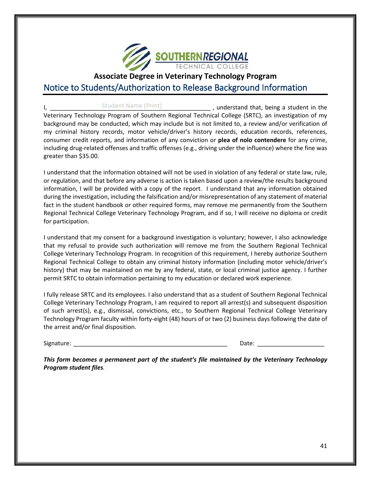

# <span id="page-40-0"></span>**Associate Degree in Veterinary Technology Program** Notice to Students/Authorization to Release Background Information

I, \_\_\_\_\_\_\_\_\_\_\_\_\_\_\_\_\_\_\_\_\_\_\_\_\_\_\_\_\_\_\_\_\_\_\_\_\_\_\_\_\_\_\_\_\_\_\_\_ , understand that, being a student in the Veterinary Technology Program of Southern Regional Technical College (SRTC), an investigation of my background may be conducted, which may include but is not limited to, a review and/or verification of my criminal history records, motor vehicle/driver's history records, education records, references, consumer credit reports, and information of any conviction or **plea of nolo contendere** for any crime, including drug-related offenses and traffic offenses (e.g., driving under the influence) where the fine was greater than \$35.00.

I understand that the information obtained will not be used in violation of any federal or state law, rule, or regulation, and that before any adverse is action is taken based upon a review/the results background information, I will be provided with a copy of the report. I understand that any information obtained during the investigation, including the falsification and/or misrepresentation of any statement of material fact in the student handbook or other required forms, may remove me permanently from the Southern Regional Technical College Veterinary Technology Program, and if so, I will receive no diploma or credit for participation.

I understand that my consent for a background investigation is voluntary; however, I also acknowledge that my refusal to provide such authorization will remove me from the Southern Regional Technical College Veterinary Technology Program. In recognition of this requirement, I hereby authorize Southern Regional Technical College to obtain any criminal history information (including motor vehicle/driver's history) that may be maintained on me by any federal, state, or local criminal justice agency. I further permit SRTC to obtain information pertaining to my education or declared work experience.

I fully release SRTC and its employees. I also understand that as a student of Southern Regional Technical College Veterinary Technology Program, I am required to report all arrest(s) and subsequent disposition of such arrest(s), e.g., dismissal, convictions, etc., to Southern Regional Technical College Veterinary Technology Program faculty within forty-eight (48) hours of or two (2) business days following the date of the arrest and/or final disposition.

Signature: \_\_\_\_\_\_\_\_\_\_\_\_\_\_\_\_\_\_\_\_\_\_\_\_\_\_\_\_\_\_\_\_\_\_\_\_\_\_\_\_\_\_\_\_\_\_ Date: \_\_\_\_\_\_\_\_\_\_\_\_\_\_\_\_\_\_\_\_

*This form becomes a permanent part of the student's file maintained by the Veterinary Technology Program student files.*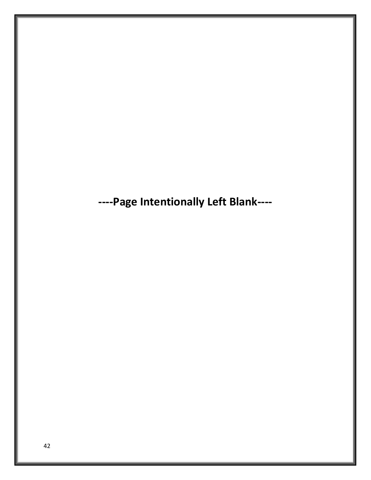**----Page Intentionally Left Blank----**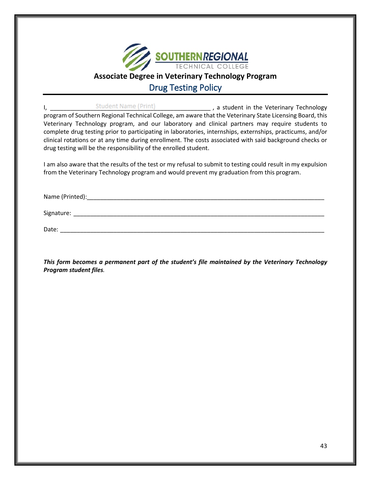

Drug Testing Policy

<span id="page-42-0"></span>I, \_\_\_\_\_\_\_\_\_\_\_\_\_\_\_\_\_\_\_\_\_\_\_\_\_\_\_\_\_\_\_\_\_\_\_\_\_\_\_\_\_\_\_\_\_\_\_\_ , a student in the Veterinary Technology program of Southern Regional Technical College, am aware that the Veterinary State Licensing Board, this Veterinary Technology program, and our laboratory and clinical partners may require students to complete drug testing prior to participating in laboratories, internships, externships, practicums, and/or clinical rotations or at any time during enrollment. The costs associated with said background checks or drug testing will be the responsibility of the enrolled student.

I am also aware that the results of the test or my refusal to submit to testing could result in my expulsion from the Veterinary Technology program and would prevent my graduation from this program.

Name (Printed):\_\_\_\_\_\_\_\_\_\_\_\_\_\_\_\_\_\_\_\_\_\_\_\_\_\_\_\_\_\_\_\_\_\_\_\_\_\_\_\_\_\_\_\_\_\_\_\_\_\_\_\_\_\_\_\_\_\_\_\_\_\_\_\_\_\_\_\_\_\_\_

Signature: \_\_\_\_\_\_\_\_\_\_\_\_\_\_\_\_\_\_\_\_\_\_\_\_\_\_\_\_\_\_\_\_\_\_\_\_\_\_\_\_\_\_\_\_\_\_\_\_\_\_\_\_\_\_\_\_\_\_\_\_\_\_\_\_\_\_\_\_\_\_\_\_\_\_\_

Date: \_\_\_\_\_\_\_\_\_\_\_\_\_\_\_\_\_\_\_\_\_\_\_\_\_\_\_\_\_\_\_\_\_\_\_\_\_\_\_\_\_\_\_\_\_\_\_\_\_\_\_\_\_\_\_\_\_\_\_\_\_\_\_\_\_\_\_\_\_\_\_\_\_\_\_\_\_\_\_

*This form becomes a permanent part of the student's file maintained by the Veterinary Technology Program student files.*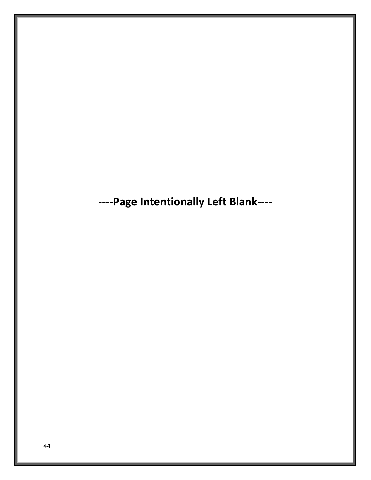**----Page Intentionally Left Blank----**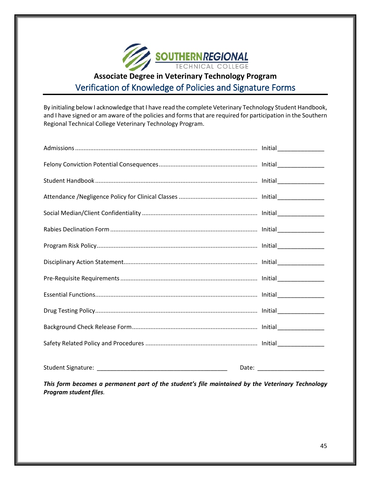

# **Associate Degree in Veterinary Technology Program** Verification of Knowledge of Policies and Signature Forms

<span id="page-44-0"></span>By initialing below I acknowledge that I have read the complete Veterinary Technology Student Handbook, and I have signed or am aware of the policies and forms that are required for participation in the Southern Regional Technical College Veterinary Technology Program.

| <b>Student Signature:</b><br>Date: |  |
|------------------------------------|--|

*This form becomes a permanent part of the student's file maintained by the Veterinary Technology Program student files.*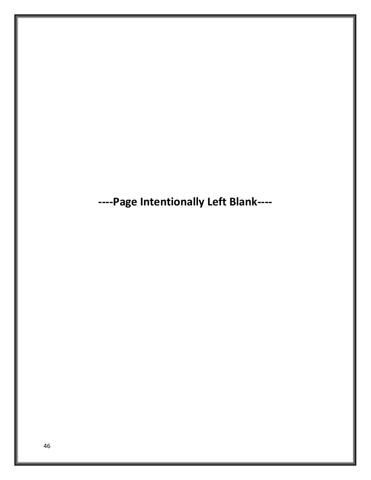**----Page Intentionally Left Blank----**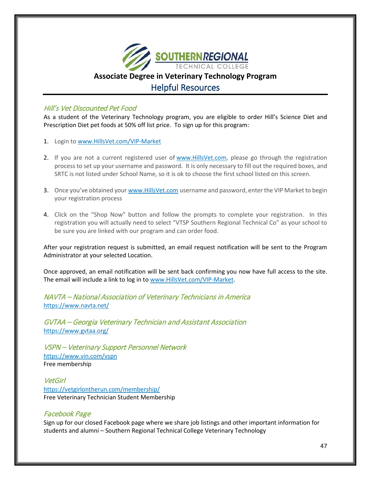

# Helpful Resources

### <span id="page-46-0"></span>Hill's Vet Discounted Pet Food

As a student of the Veterinary Technology program, you are eligible to order Hill's Science Diet and Prescription Diet pet foods at 50% off list price. To sign up for this program:

- 1. Login to [www.HillsVet.com/VIP-Market](https://www.hillsvet.com/vip-market)
- 2. If you are not a current registered user of [www.HillsVet.com,](https://www.hillsvet.com/vip-market) please go through the registration process to set up your username and password. It is only necessary to fill out the required boxes, and SRTC is not listed under School Name, so it is ok to choose the first school listed on this screen.
- 3. Once you've obtained your [www.HillsVet.com](https://www.hillsvet.com/products) username and password, enter the VIP Market to begin your registration process
- 4. Click on the "Shop Now" button and follow the prompts to complete your registration. In this registration you will actually need to select "VTSP Southern Regional Technical Co" as your school to be sure you are linked with our program and can order food.

After your registration request is submitted, an email request notification will be sent to the Program Administrator at your selected Location.

Once approved, an email notification will be sent back confirming you now have full access to the site. The email will include a link to log in to [www.HillsVet.com/VIP-Market.](https://www.hillsvet.com/vip-market)

### NAVTA – National Association of Veterinary Technicians in America https://www.navta.net/

GVTAA – Georgia Veterinary Technician and Assistant Association <https://www.gvtaa.org/>

VSPN – Veterinary Support Personnel Network <https://www.vin.com/vspn> Free membership

**VetGirl** <https://vetgirlontherun.com/membership/> Free Veterinary Technician Student Membership

### Facebook Page

Sign up for our closed Facebook page where we share job listings and other important information for students and alumni – Southern Regional Technical College Veterinary Technology